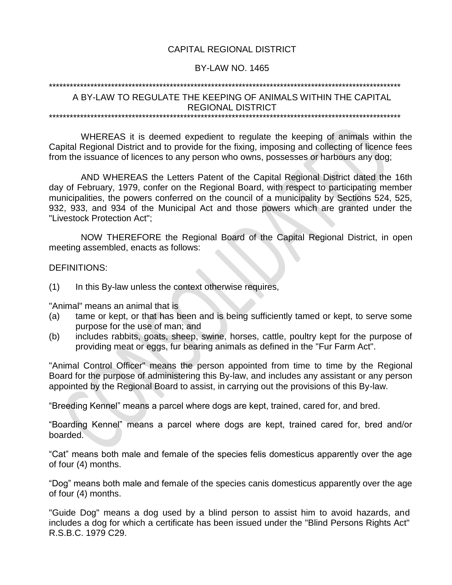### CAPITAL REGIONAL DISTRICT

#### BY-LAW NO. 1465

#### \*\*\*\*\*\*\*\*\*\*\*\*\*\*\*\*\*\*\*\*\*\*\*\*\*\*\*\*\*\*\*\*\*\*\*\*\*\*\*\*\*\*\*\*\*\*\*\*\*\*\*\*\*\*\*\*\*\*\*\*\*\*\*\*\*\*\*\*\*\*\*\*\*\*\*\*\*\*\*\*\*\*\*\*\*\*\*\*\*\*\*\*\*\*\*\*\*\*\*\*\*\*

## A BY-LAW TO REGULATE THE KEEPING OF ANIMALS WITHIN THE CAPITAL REGIONAL DISTRICT

\*\*\*\*\*\*\*\*\*\*\*\*\*\*\*\*\*\*\*\*\*\*\*\*\*\*\*\*\*\*\*\*\*\*\*\*\*\*\*\*\*\*\*\*\*\*\*\*\*\*\*\*\*\*\*\*\*\*\*\*\*\*\*\*\*\*\*\*\*\*\*\*\*\*\*\*\*\*\*\*\*\*\*\*\*\*\*\*\*\*\*\*\*\*\*\*\*\*\*\*\*\*

WHEREAS it is deemed expedient to regulate the keeping of animals within the Capital Regional District and to provide for the fixing, imposing and collecting of licence fees from the issuance of licences to any person who owns, possesses or harbours any dog;

AND WHEREAS the Letters Patent of the Capital Regional District dated the 16th day of February, 1979, confer on the Regional Board, with respect to participating member municipalities, the powers conferred on the council of a municipality by Sections 524, 525, 932, 933, and 934 of the Municipal Act and those powers which are granted under the "Livestock Protection Act";

NOW THEREFORE the Regional Board of the Capital Regional District, in open meeting assembled, enacts as follows:

#### DEFINITIONS:

(1) In this By-law unless the context otherwise requires,

"Animal" means an animal that is

- (a) tame or kept, or that has been and is being sufficiently tamed or kept, to serve some purpose for the use of man; and
- (b) includes rabbits, goats, sheep, swine, horses, cattle, poultry kept for the purpose of providing meat or eggs, fur bearing animals as defined in the "Fur Farm Act".

"Animal Control Officer" means the person appointed from time to time by the Regional Board for the purpose of administering this By-law, and includes any assistant or any person appointed by the Regional Board to assist, in carrying out the provisions of this By-law.

"Breeding Kennel" means a parcel where dogs are kept, trained, cared for, and bred.

"Boarding Kennel" means a parcel where dogs are kept, trained cared for, bred and/or boarded.

"Cat" means both male and female of the species felis domesticus apparently over the age of four (4) months.

"Dog" means both male and female of the species canis domesticus apparently over the age of four (4) months.

"Guide Dog" means a dog used by a blind person to assist him to avoid hazards, and includes a dog for which a certificate has been issued under the "Blind Persons Rights Act" R.S.B.C. 1979 C29.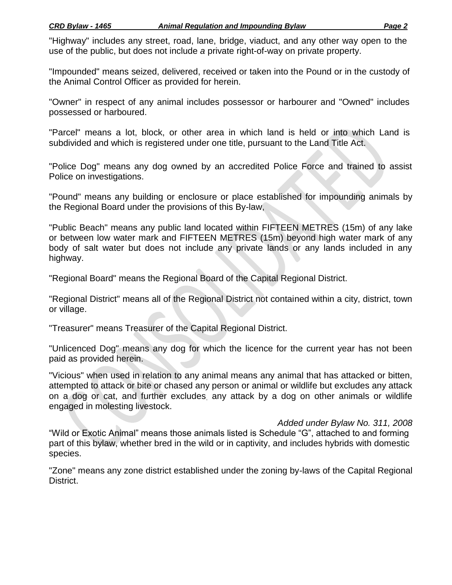"Highway" includes any street, road, lane, bridge, viaduct, and any other way open to the use of the public, but does not include *a* private right-of-way on private property.

"Impounded" means seized, delivered, received or taken into the Pound or in the custody of the Animal Control Officer as provided for herein.

"Owner" in respect of any animal includes possessor or harbourer and "Owned" includes possessed or harboured.

"Parcel" means a lot, block, or other area in which land is held or into which Land is subdivided and which is registered under one title, pursuant to the Land Title Act.

"Police Dog" means any dog owned by an accredited Police Force and trained to assist Police on investigations.

"Pound" means any building or enclosure or place established for impounding animals by the Regional Board under the provisions of this By-law,

"Public Beach" means any public land located within FIFTEEN METRES (15m) of any lake or between low water mark and FIFTEEN METRES (15m) beyond high water mark of any body of salt water but does not include any private lands or any lands included in any highway.

"Regional Board" means the Regional Board of the Capital Regional District.

"Regional District" means all of the Regional District not contained within a city, district, town or village.

"Treasurer" means Treasurer of the Capital Regional District.

"Unlicenced Dog" means any dog for which the licence for the current year has not been paid as provided herein.

"Vicious" when used in relation to any animal means any animal that has attacked or bitten, attempted to attack or bite or chased any person or animal or wildlife but excludes any attack on a dog or cat, and further excludes. any attack by a dog on other animals or wildlife engaged in molesting livestock.

*Added under Bylaw No. 311, 2008*

"Wild or Exotic Animal" means those animals listed is Schedule "G", attached to and forming part of this bylaw, whether bred in the wild or in captivity, and includes hybrids with domestic species.

"Zone" means any zone district established under the zoning by-laws of the Capital Regional District.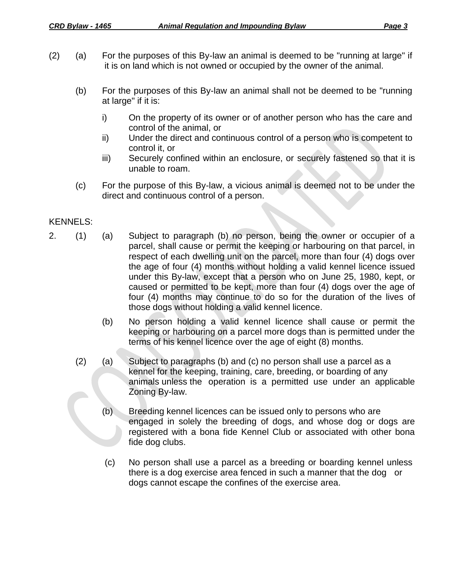- (2) (a) For the purposes of this By-law an animal is deemed to be "running at large" if it is on land which is not owned or occupied by the owner of the animal.
	- (b) For the purposes of this By-law an animal shall not be deemed to be "running at large" if it is:
		- i) On the property of its owner or of another person who has the care and control of the animal, or
		- ii) Under the direct and continuous control of a person who is competent to control it, or
		- iii) Securely confined within an enclosure, or securely fastened so that it is unable to roam.
	- (c) For the purpose of this By-law, a vicious animal is deemed not to be under the direct and continuous control of a person.

## KENNELS:

- 2. (1) (a) Subject to paragraph (b) no person, being the owner or occupier of a parcel, shall cause or permit the keeping or harbouring on that parcel, in respect of each dwelling unit on the parcel, more than four (4) dogs over the age of four (4) months without holding a valid kennel licence issued under this By-law, except that a person who on June 25, 1980, kept, or caused or permitted to be kept, more than four (4) dogs over the age of four (4) months may continue to do so for the duration of the lives of those dogs without holding a valid kennel licence.
	- (b) No person holding a valid kennel licence shall cause or permit the keeping or harbouring on a parcel more dogs than is permitted under the terms of his kennel licence over the age of eight (8) months.
	- (2) (a) Subject to paragraphs (b) and (c) no person shall use a parcel as a kennel for the keeping, training, care, breeding, or boarding of any animals unless the operation is a permitted use under an applicable Zoning By-law.
		- (b) Breeding kennel licences can be issued only to persons who are engaged in solely the breeding of dogs, and whose dog or dogs are registered with a bona fide Kennel Club or associated with other bona fide dog clubs.
		- (c) No person shall use a parcel as a breeding or boarding kennel unless there is a dog exercise area fenced in such a manner that the dog or dogs cannot escape the confines of the exercise area.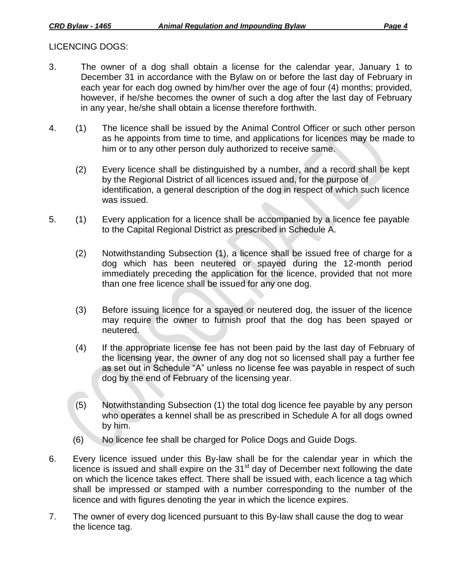## LICENCING DOGS:

- 3. The owner of a dog shall obtain a license for the calendar year, January 1 to December 31 in accordance with the Bylaw on or before the last day of February in each year for each dog owned by him/her over the age of four (4) months; provided, however, if he/she becomes the owner of such a dog after the last day of February in any year, he/she shall obtain a license therefore forthwith.
- 4. (1) The licence shall be issued by the Animal Control Officer or such other person as he appoints from time to time, and applications for licences may be made to him or to any other person duly authorized to receive same.
	- (2) Every licence shall be distinguished by a number, and a record shall be kept by the Regional District of all licences issued and, for the purpose of identification, a general description of the dog in respect of which such licence was issued.
- 5. (1) Every application for a licence shall be accompanied by a licence fee payable to the Capital Regional District as prescribed in Schedule A.
	- (2) Notwithstanding Subsection (1), a licence shall be issued free of charge for a dog which has been neutered or spayed during the 12-month period immediately preceding the application for the licence, provided that not more than one free licence shall be issued for any one dog.
	- (3) Before issuing licence for a spayed or neutered dog, the issuer of the licence may require the owner to furnish proof that the dog has been spayed or neutered.
	- (4) If the appropriate license fee has not been paid by the last day of February of the licensing year, the owner of any dog not so licensed shall pay a further fee as set out in Schedule "A" unless no license fee was payable in respect of such dog by the end of February of the licensing year.
	- (5) Notwithstanding Subsection (1) the total dog licence fee payable by any person who operates a kennel shall be as prescribed in Schedule A for all dogs owned by him.
	- (6) No licence fee shall be charged for Police Dogs and Guide Dogs.
- 6. Every licence issued under this By-law shall be for the calendar year in which the licence is issued and shall expire on the  $31<sup>st</sup>$  day of December next following the date on which the licence takes effect. There shall be issued with, each licence a tag which shall be impressed or stamped with a number corresponding to the number of the licence and with figures denoting the year in which the licence expires.
- 7. The owner of every dog licenced pursuant to this By-law shall cause the dog to wear the licence tag.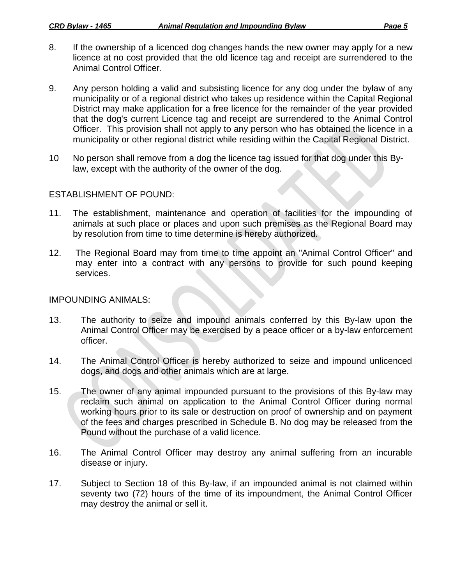- 8. If the ownership of a licenced dog changes hands the new owner may apply for a new licence at no cost provided that the old licence tag and receipt are surrendered to the Animal Control Officer.
- 9. Any person holding a valid and subsisting licence for any dog under the bylaw of any municipality or of a regional district who takes up residence within the Capital Regional District may make application for a free licence for the remainder of the year provided that the dog's current Licence tag and receipt are surrendered to the Animal Control Officer. This provision shall not apply to any person who has obtained the licence in a municipality or other regional district while residing within the Capital Regional District.
- 10 No person shall remove from a dog the licence tag issued for that dog under this Bylaw, except with the authority of the owner of the dog.

## ESTABLISHMENT OF POUND:

- 11. The establishment, maintenance and operation of facilities for the impounding of animals at such place or places and upon such premises as the Regional Board may by resolution from time to time determine is hereby authorized.
- 12. The Regional Board may from time to time appoint an "Animal Control Officer" and may enter into a contract with any persons to provide for such pound keeping services.

## IMPOUNDING ANIMALS:

- 13. The authority to seize and impound animals conferred by this By-law upon the Animal Control Officer may be exercised by a peace officer or a by-law enforcement officer.
- 14. The Animal Control Officer is hereby authorized to seize and impound unlicenced dogs, and dogs and other animals which are at large.
- 15. The owner of any animal impounded pursuant to the provisions of this By-law may reclaim such animal on application to the Animal Control Officer during normal working hours prior to its sale or destruction on proof of ownership and on payment of the fees and charges prescribed in Schedule B. No dog may be released from the Pound without the purchase of a valid licence.
- 16. The Animal Control Officer may destroy any animal suffering from an incurable disease or injury.
- 17. Subject to Section 18 of this By-law, if an impounded animal is not claimed within seventy two (72) hours of the time of its impoundment, the Animal Control Officer may destroy the animal or sell it.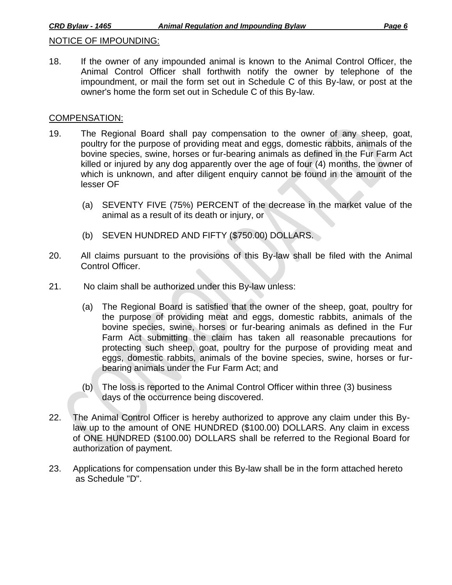## NOTICE OF IMPOUNDING:

18. If the owner of any impounded animal is known to the Animal Control Officer, the Animal Control Officer shall forthwith notify the owner by telephone of the impoundment, or mail the form set out in Schedule C of this By-law, or post at the owner's home the form set out in Schedule C of this By-law.

### COMPENSATION:

- 19. The Regional Board shall pay compensation to the owner of any sheep, goat, poultry for the purpose of providing meat and eggs, domestic rabbits, animals of the bovine species, swine, horses or fur-bearing animals as defined in the Fur Farm Act killed or injured by any dog apparently over the age of four (4) months, the owner of which is unknown, and after diligent enquiry cannot be found in the amount of the lesser OF
	- (a) SEVENTY FIVE (75%) PERCENT of the decrease in the market value of the animal as a result of its death or injury, or
	- (b) SEVEN HUNDRED AND FIFTY (\$750.00) DOLLARS.
- 20. All claims pursuant to the provisions of this By-law shall be filed with the Animal Control Officer.
- 21. No claim shall be authorized under this By-law unless:
	- (a) The Regional Board is satisfied that the owner of the sheep, goat, poultry for the purpose of providing meat and eggs, domestic rabbits, animals of the bovine species, swine, horses or fur-bearing animals as defined in the Fur Farm Act submitting the claim has taken all reasonable precautions for protecting such sheep, goat, poultry for the purpose of providing meat and eggs, domestic rabbits, animals of the bovine species, swine, horses or furbearing animals under the Fur Farm Act; and
	- (b) The loss is reported to the Animal Control Officer within three (3) business days of the occurrence being discovered.
- 22. The Animal Control Officer is hereby authorized to approve any claim under this Bylaw up to the amount of ONE HUNDRED (\$100.00) DOLLARS. Any claim in excess of ONE HUNDRED (\$100.00) DOLLARS shall be referred to the Regional Board for authorization of payment.
- 23. Applications for compensation under this By-law shall be in the form attached hereto as Schedule "D".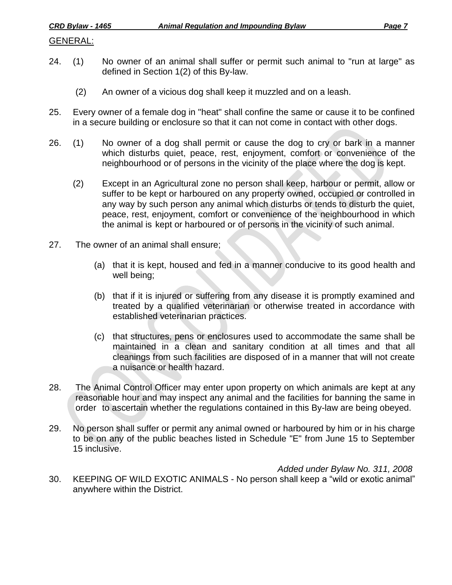## GENERAL:

- 24. (1) No owner of an animal shall suffer or permit such animal to "run at large" as defined in Section 1(2) of this By-law.
	- (2) An owner of a vicious dog shall keep it muzzled and on a leash.
- 25. Every owner of a female dog in "heat" shall confine the same or cause it to be confined in a secure building or enclosure so that it can not come in contact with other dogs.
- 26. (1) No owner of a dog shall permit or cause the dog to cry or bark in a manner which disturbs quiet, peace, rest, enjoyment, comfort or convenience of the neighbourhood or of persons in the vicinity of the place where the dog is kept.
	- (2) Except in an Agricultural zone no person shall keep, harbour or permit, allow or suffer to be kept or harboured on any property owned, occupied or controlled in any way by such person any animal which disturbs or tends to disturb the quiet, peace, rest, enjoyment, comfort or convenience of the neighbourhood in which the animal is kept or harboured or of persons in the vicinity of such animal.
- 27. The owner of an animal shall ensure;
	- (a) that it is kept, housed and fed in a manner conducive to its good health and well being;
	- (b) that if it is injured or suffering from any disease it is promptly examined and treated by a qualified veterinarian or otherwise treated in accordance with established veterinarian practices.
	- (c) that structures, pens or enclosures used to accommodate the same shall be maintained in a clean and sanitary condition at all times and that all cleanings from such facilities are disposed of in a manner that will not create a nuisance or health hazard.
- 28. The Animal Control Officer may enter upon property on which animals are kept at any reasonable hour and may inspect any animal and the facilities for banning the same in order to ascertain whether the regulations contained in this By-law are being obeyed.
- 29. No person shall suffer or permit any animal owned or harboured by him or in his charge to be on any of the public beaches listed in Schedule "E" from June 15 to September 15 inclusive.

*Added under Bylaw No. 311, 2008*

30. KEEPING OF WILD EXOTIC ANIMALS - No person shall keep a "wild or exotic animal" anywhere within the District.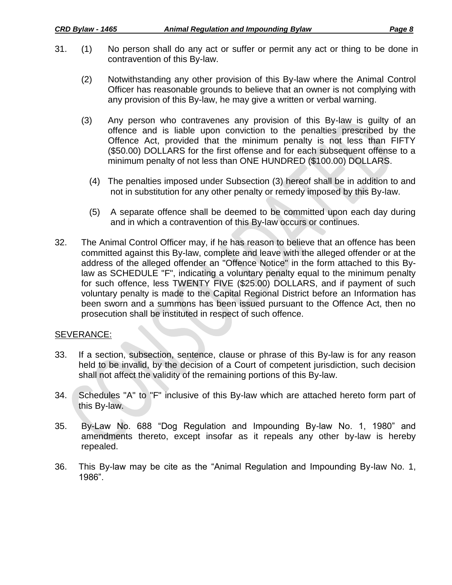- 31. (1) No person shall do any act or suffer or permit any act or thing to be done in contravention of this By-law.
	- (2) Notwithstanding any other provision of this By-law where the Animal Control Officer has reasonable grounds to believe that an owner is not complying with any provision of this By-law, he may give a written or verbal warning.
	- (3) Any person who contravenes any provision of this By-law is guilty of an offence and is liable upon conviction to the penalties prescribed by the Offence Act, provided that the minimum penalty is not less than FIFTY (\$50.00) DOLLARS for the first offense and for each subsequent offense to a minimum penalty of not less than ONE HUNDRED (\$100.00) DOLLARS.
		- (4) The penalties imposed under Subsection (3) hereof shall be in addition to and not in substitution for any other penalty or remedy imposed by this By-law.
		- (5) A separate offence shall be deemed to be committed upon each day during and in which a contravention of this By-law occurs or continues.
- 32. The Animal Control Officer may, if he has reason to believe that an offence has been committed against this By-law, complete and leave with the alleged offender or at the address of the alleged offender an "Offence Notice" in the form attached to this Bylaw as SCHEDULE "F", indicating a voluntary penalty equal to the minimum penalty for such offence, less TWENTY FIVE (\$25.00) DOLLARS, and if payment of such voluntary penalty is made to the Capital Regional District before an Information has been sworn and a summons has been issued pursuant to the Offence Act, then no prosecution shall be instituted in respect of such offence.

# SEVERANCE:

- 33. If a section, subsection, sentence, clause or phrase of this By-law is for any reason held to be invalid, by the decision of a Court of competent jurisdiction, such decision shall not affect the validity of the remaining portions of this By-law.
- 34. Schedules "A" to "F" inclusive of this By-law which are attached hereto form part of this By-law.
- 35. By-Law No. 688 "Dog Regulation and Impounding By-law No. 1, 1980" and amendments thereto, except insofar as it repeals any other by-law is hereby repealed.
- 36. This By-law may be cite as the "Animal Regulation and Impounding By-law No. 1, 1986".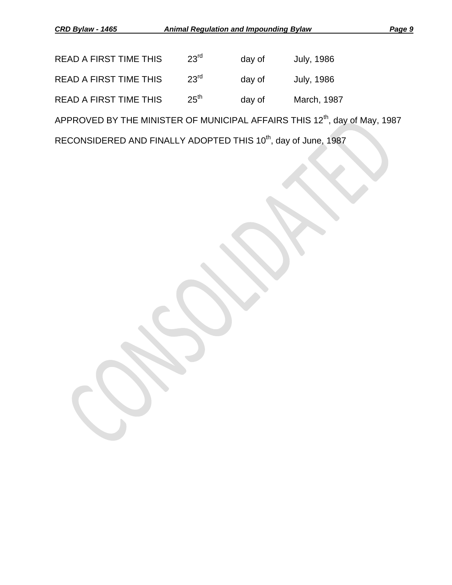| <b>READ A FIRST TIME THIS</b> | $23^{\text{rd}}$ | day of | July, 1986  |
|-------------------------------|------------------|--------|-------------|
| <b>READ A FIRST TIME THIS</b> | 23 <sup>rd</sup> | day of | July, 1986  |
| <b>READ A FIRST TIME THIS</b> | 25 <sup>th</sup> | day of | March, 1987 |

APPROVED BY THE MINISTER OF MUNICIPAL AFFAIRS THIS 12<sup>th</sup>, day of May, 1987

RECONSIDERED AND FINALLY ADOPTED THIS 10<sup>th</sup>, day of June, 1987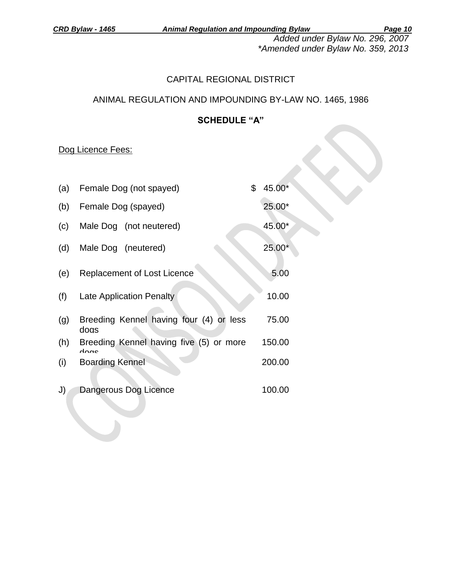*Added under Bylaw No. 296, 2007 \*Amended under Bylaw No. 359, 2013*

# CAPITAL REGIONAL DISTRICT

# ANIMAL REGULATION AND IMPOUNDING BY-LAW NO. 1465, 1986

# **SCHEDULE "A"**

# Dog Licence Fees:

 $\mathcal{L}$ 

| (a) | Female Dog (not spayed)                         | \$<br>45.00* |
|-----|-------------------------------------------------|--------------|
| (b) | Female Dog (spayed)                             | 25.00*       |
| (c) | Male Dog (not neutered)                         | 45.00*       |
| (d) | Male Dog (neutered)                             | $25.00*$     |
| (e) | Replacement of Lost Licence                     | 5.00         |
| (f) | <b>Late Application Penalty</b>                 | 10.00        |
| (g) | Breeding Kennel having four (4) or less<br>doas | 75.00        |
| (h) | Breeding Kennel having five (5) or more<br>doac | 150.00       |
| (i) | <b>Boarding Kennel</b>                          | 200.00       |
| J)  | Dangerous Dog Licence                           | 100.00       |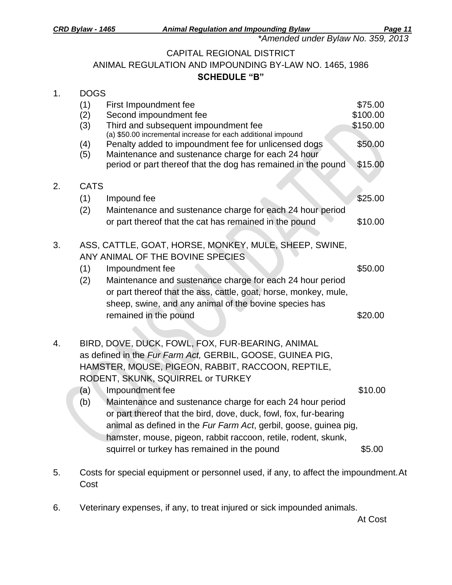*\*Amended under Bylaw No. 359, 2013*

## CAPITAL REGIONAL DISTRICT

ANIMAL REGULATION AND IMPOUNDING BY-LAW NO. 1465, 1986 **SCHEDULE "B"**

| 1. |                   | <b>DOGS</b>                                                                                                                                                                                         |                                 |  |  |  |  |
|----|-------------------|-----------------------------------------------------------------------------------------------------------------------------------------------------------------------------------------------------|---------------------------------|--|--|--|--|
|    | (1)<br>(2)<br>(3) | First Impoundment fee<br>Second impoundment fee<br>Third and subsequent impoundment fee                                                                                                             | \$75.00<br>\$100.00<br>\$150.00 |  |  |  |  |
|    | (4)<br>(5)        | (a) \$50.00 incremental increase for each additional impound<br>Penalty added to impoundment fee for unlicensed dogs<br>Maintenance and sustenance charge for each 24 hour                          | \$50.00                         |  |  |  |  |
|    |                   | period or part thereof that the dog has remained in the pound                                                                                                                                       | \$15.00                         |  |  |  |  |
| 2. | <b>CATS</b>       |                                                                                                                                                                                                     |                                 |  |  |  |  |
|    | (1)               | Impound fee                                                                                                                                                                                         | \$25.00                         |  |  |  |  |
|    | (2)               | Maintenance and sustenance charge for each 24 hour period<br>or part thereof that the cat has remained in the pound                                                                                 | \$10.00                         |  |  |  |  |
| 3. |                   | ASS, CATTLE, GOAT, HORSE, MONKEY, MULE, SHEEP, SWINE,                                                                                                                                               |                                 |  |  |  |  |
|    | (1)               | ANY ANIMAL OF THE BOVINE SPECIES<br>Impoundment fee                                                                                                                                                 | \$50.00                         |  |  |  |  |
|    | (2)               | Maintenance and sustenance charge for each 24 hour period<br>or part thereof that the ass, cattle, goat, horse, monkey, mule,                                                                       |                                 |  |  |  |  |
|    |                   | sheep, swine, and any animal of the bovine species has<br>remained in the pound                                                                                                                     | \$20.00                         |  |  |  |  |
| 4. |                   | BIRD, DOVE, DUCK, FOWL, FOX, FUR-BEARING, ANIMAL                                                                                                                                                    |                                 |  |  |  |  |
|    |                   | as defined in the Fur Farm Act, GERBIL, GOOSE, GUINEA PIG,<br>HAMSTER, MOUSE, PIGEON, RABBIT, RACCOON, REPTILE,<br>RODENT, SKUNK, SQUIRREL or TURKEY                                                |                                 |  |  |  |  |
|    | (a)               | Impoundment fee                                                                                                                                                                                     | \$10.00                         |  |  |  |  |
|    | (b)               | Maintenance and sustenance charge for each 24 hour period<br>or part thereof that the bird, dove, duck, fowl, fox, fur-bearing<br>animal as defined in the Fur Farm Act, gerbil, goose, guinea pig, |                                 |  |  |  |  |
|    |                   | hamster, mouse, pigeon, rabbit raccoon, retile, rodent, skunk,<br>squirrel or turkey has remained in the pound                                                                                      | \$5.00                          |  |  |  |  |
|    |                   |                                                                                                                                                                                                     |                                 |  |  |  |  |

- 5. Costs for special equipment or personnel used, if any, to affect the impoundment.At Cost
- 6. Veterinary expenses, if any, to treat injured or sick impounded animals.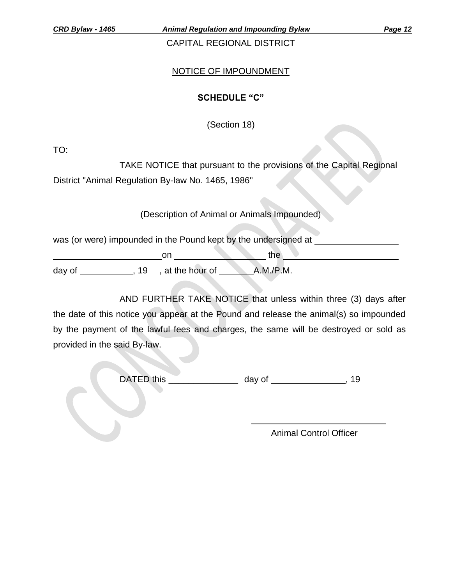*CRD Bylaw - 1465 Animal Regulation and Impounding Bylaw Page 12*

CAPITAL REGIONAL DISTRICT

# NOTICE OF IMPOUNDMENT

# **SCHEDULE "C"**

(Section 18)

TO:

TAKE NOTICE that pursuant to the provisions of the Capital Regional District "Animal Regulation By-law No. 1465, 1986"

(Description of Animal or Animals Impounded)

was (or were) impounded in the Pound kept by the undersigned at

on he are the the day of , 19 , at the hour of A.M./P.M.

AND FURTHER TAKE NOTICE that unless within three (3) days after the date of this notice you appear at the Pound and release the animal(s) so impounded by the payment of the lawful fees and charges, the same will be destroyed or sold as provided in the said By-law.

DATED this \_\_\_\_\_\_\_\_\_\_\_\_\_\_ day of , 19

Animal Control Officer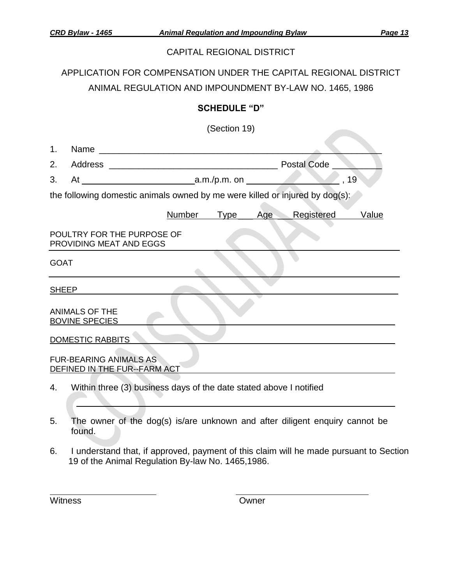## CAPITAL REGIONAL DISTRICT

APPLICATION FOR COMPENSATION UNDER THE CAPITAL REGIONAL DISTRICT ANIMAL REGULATION AND IMPOUNDMENT BY-LAW NO. 1465, 1986

## **SCHEDULE "D"**

(Section 19)

| 1.                                                                           |                                                                    |               |         |                              |             |                           |
|------------------------------------------------------------------------------|--------------------------------------------------------------------|---------------|---------|------------------------------|-------------|---------------------------|
| 2.                                                                           |                                                                    |               |         |                              | Postal Code |                           |
| 3.                                                                           |                                                                    |               |         |                              |             | $^{\sim}$ , 19 $^{\circ}$ |
| the following domestic animals owned by me were killed or injured by dog(s): |                                                                    |               |         |                              |             |                           |
|                                                                              |                                                                    | <b>Number</b> | __ Type | $\overline{\phantom{a}}$ Age | Registered  | <b>Value</b>              |
|                                                                              | POULTRY FOR THE PURPOSE OF<br>PROVIDING MEAT AND EGGS              |               |         |                              |             |                           |
| <b>GOAT</b>                                                                  |                                                                    |               |         |                              |             |                           |
| <b>SHEEP</b>                                                                 |                                                                    |               |         |                              |             |                           |
|                                                                              | <b>ANIMALS OF THE</b><br><b>BOVINE SPECIES</b>                     |               |         |                              |             |                           |
| <b>DOMESTIC RABBITS</b>                                                      |                                                                    |               |         |                              |             |                           |
|                                                                              | <b>FUR-BEARING ANIMALS AS</b><br>DEFINED IN THE FUR--FARM ACT      |               |         |                              |             |                           |
| 4.                                                                           | Within three (3) business days of the date stated above I notified |               |         |                              |             |                           |

- 5. The owner of the dog(s) is/are unknown and after diligent enquiry cannot be found.
- 6. I understand that, if approved, payment of this claim will he made pursuant to Section 19 of the Animal Regulation By-law No. 1465,1986.

Witness **Owner**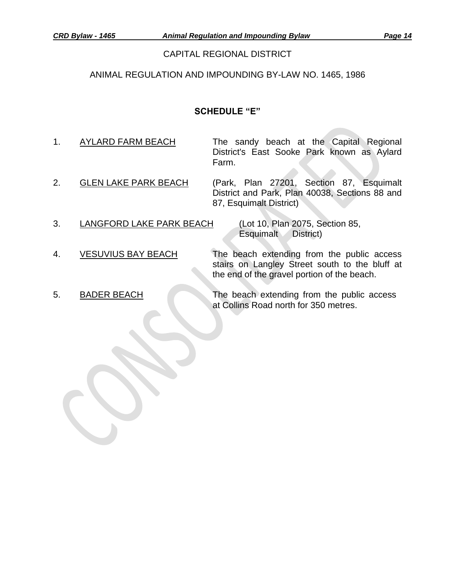#### CAPITAL REGIONAL DISTRICT

## ANIMAL REGULATION AND IMPOUNDING BY-LAW NO. 1465, 1986

## **SCHEDULE "E"**

- 1. AYLARD FARM BEACH The sandy beach at the Capital Regional District's East Sooke Park known as Aylard Farm.
- 2. **GLEN LAKE PARK BEACH** (Park, Plan 27201, Section 87, Esquimalt District and Park, Plan 40038, Sections 88 and 87, Esquimalt District)
- 3. LANGFORD LAKE PARK BEACH (Lot 10, Plan 2075, Section 85,

Esquimalt District)

the end of the gravel portion of the beach.

- 4. VESUVIUS BAY BEACH The beach extending from the public access
- 

5. BADER BEACH The beach extending from the public access at Collins Road north for 350 metres.

stairs on Langley Street south to the bluff at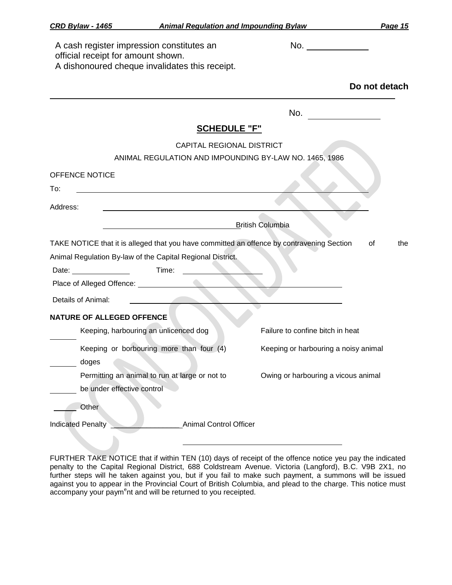| <b>CRD Bylaw - 1465</b>            | <b>Animal Regulation and Impounding Bylaw</b>                                               |                                                                | Page 15       |
|------------------------------------|---------------------------------------------------------------------------------------------|----------------------------------------------------------------|---------------|
| official receipt for amount shown. | A cash register impression constitutes an<br>A dishonoured cheque invalidates this receipt. | No. $\frac{1}{\sqrt{1-\frac{1}{2}}\left(1-\frac{1}{2}\right)}$ |               |
|                                    |                                                                                             |                                                                | Do not detach |
|                                    |                                                                                             | No.                                                            |               |
|                                    | <b>SCHEDULE "F"</b>                                                                         |                                                                |               |
|                                    | CAPITAL REGIONAL DISTRICT<br>ANIMAL REGULATION AND IMPOUNDING BY-LAW NO. 1465, 1986         |                                                                |               |
| <b>OFFENCE NOTICE</b>              |                                                                                             |                                                                |               |
| To:                                |                                                                                             |                                                                |               |
| Address:                           |                                                                                             |                                                                |               |
|                                    |                                                                                             | <b>British Columbia</b>                                        |               |
|                                    | TAKE NOTICE that it is alleged that you have committed an offence by contravening Section   |                                                                | 0f<br>the     |
|                                    | Animal Regulation By-law of the Capital Regional District.                                  |                                                                |               |
|                                    | Time:                                                                                       |                                                                |               |
|                                    |                                                                                             |                                                                |               |
| Details of Animal:                 |                                                                                             |                                                                |               |
| <b>NATURE OF ALLEGED OFFENCE</b>   |                                                                                             |                                                                |               |
|                                    | Keeping, harbouring an unlicenced dog                                                       | Failure to confine bitch in heat                               |               |
|                                    | Keeping or borbouring more than four (4)                                                    | Keeping or harbouring a noisy animal                           |               |
| doges                              |                                                                                             |                                                                |               |
|                                    | Permitting an animal to run at large or not to                                              | Owing or harbouring a vicous animal                            |               |
| be under effective control         |                                                                                             |                                                                |               |
| Other                              |                                                                                             |                                                                |               |
| <b>Indicated Penalty</b>           | <b>Animal Control Officer</b>                                                               |                                                                |               |
|                                    |                                                                                             |                                                                |               |

FURTHER TAKE NOTICE that if within TEN (10) days of receipt of the offence notice yeu pay the indicated penalty to the Capital Regional District, 688 Coldstream Avenue. Victoria (Langford), B.C. V9B 2X1, no further steps will he taken against you, but if you fail to make such payment, a summons will be issued against you to appear in the Provincial Court of British Columbia, and plead to the charge. This notice must accompany your paym<sup>e</sup>nt and will be returned to you receipted.